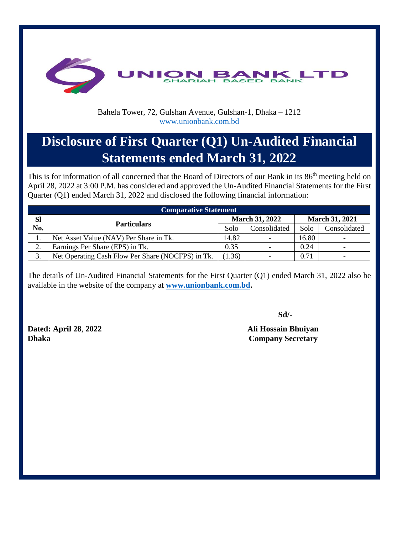

## Bahela Tower, 72, Gulshan Avenue, Gulshan-1, Dhaka – 1212 [www.unionbank.com.bd](http://www.unionbank.com.bd/)

## **Disclosure of First Quarter (Q1) Un-Audited Financial Statements ended March 31, 2022**

This is for information of all concerned that the Board of Directors of our Bank in its 86<sup>th</sup> meeting held on April 28, 2022 at 3:00 P.M. has considered and approved the Un-Audited Financial Statements for the First Quarter (Q1) ended March 31, 2022 and disclosed the following financial information:

| <b>Comparative Statement</b> |                                                   |        |                       |       |                       |  |  |  |  |
|------------------------------|---------------------------------------------------|--------|-----------------------|-------|-----------------------|--|--|--|--|
| <b>Sl</b>                    |                                                   |        | <b>March 31, 2022</b> |       | <b>March 31, 2021</b> |  |  |  |  |
| No.                          | <b>Particulars</b>                                | Solo   | Consolidated          | Solo  | Consolidated          |  |  |  |  |
|                              | Net Asset Value (NAV) Per Share in Tk.            |        |                       | 16.80 |                       |  |  |  |  |
| ◠<br>۷.                      | Earnings Per Share (EPS) in Tk.                   |        |                       | 0.24  |                       |  |  |  |  |
| $\sim$<br>Ć.                 | Net Operating Cash Flow Per Share (NOCFPS) in Tk. | (1.36) |                       | 0.71  |                       |  |  |  |  |

The details of Un-Audited Financial Statements for the First Quarter (Q1) ended March 31, 2022 also be available in the website of the company at **[www.unionbank.com.bd.](http://www.unionbank.com.bd/)**

**Dated: April 28**, **2022 Ali Hossain Bhuiyan Dhaka** Company Secretary

**Sd/-**